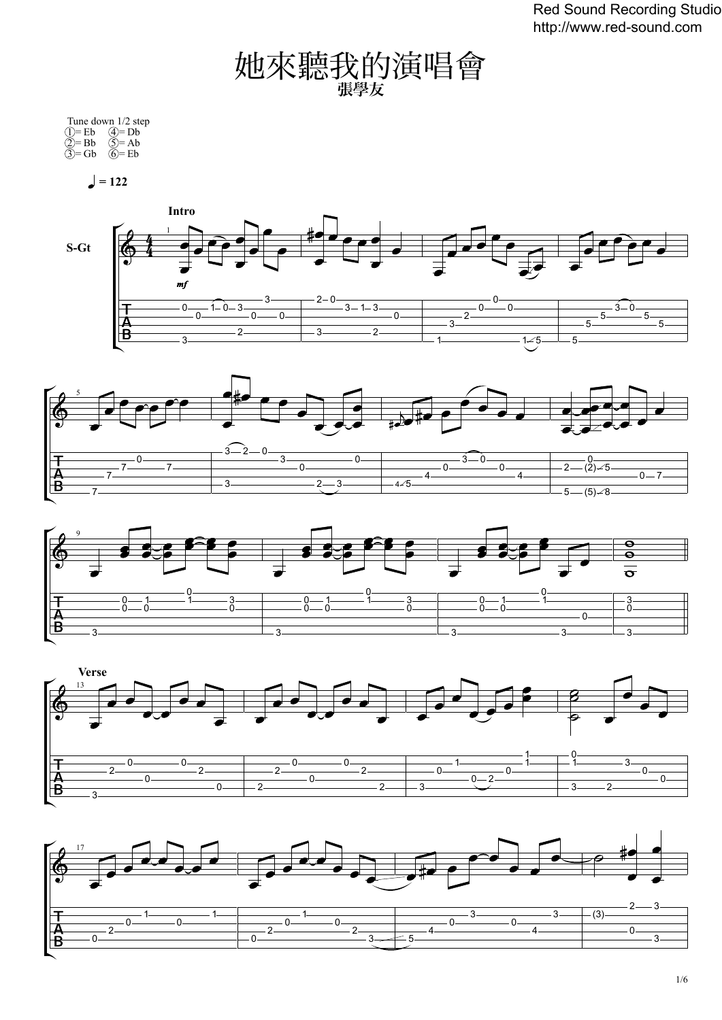Red Sound Recording Studio http://www.red-sound.com

䭪來聽我的演唱會 張學友

|            | Tune down 1/2 step         |
|------------|----------------------------|
| $(1)$ = Eb | $\mathcal{A} = \mathbf{D}$ |
| $(2)$ = Bb | $(5)=$ Ab                  |
| $(3)=Gb$   | $(6)=Eb$                   |

 $= 122$ 









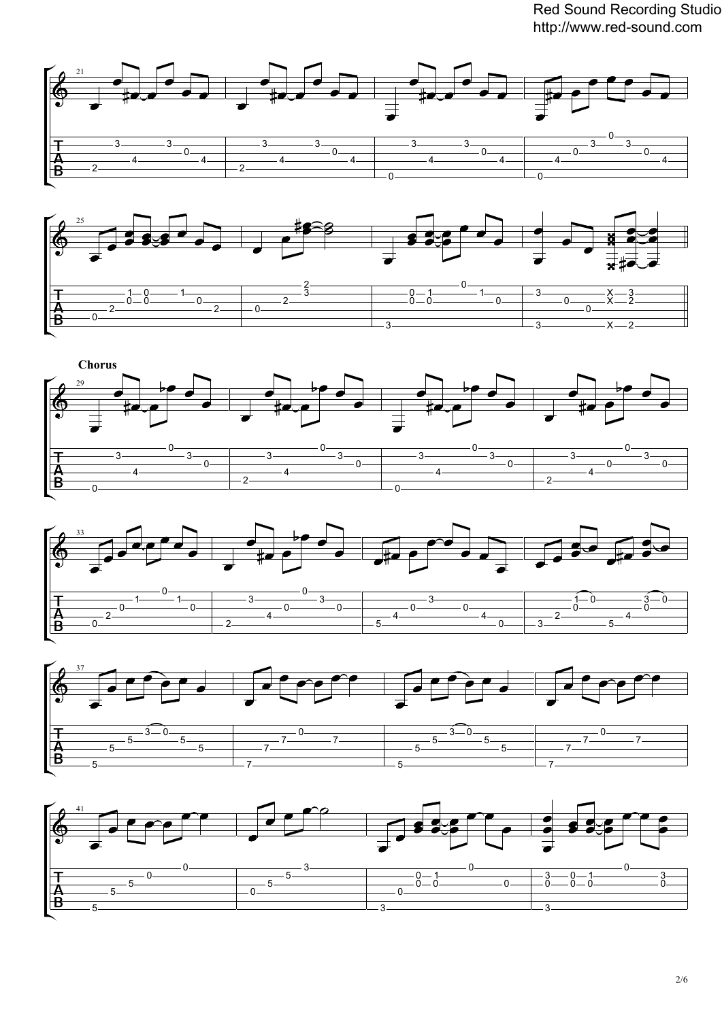Red Sound Recording Studio http://www.red-sound.com











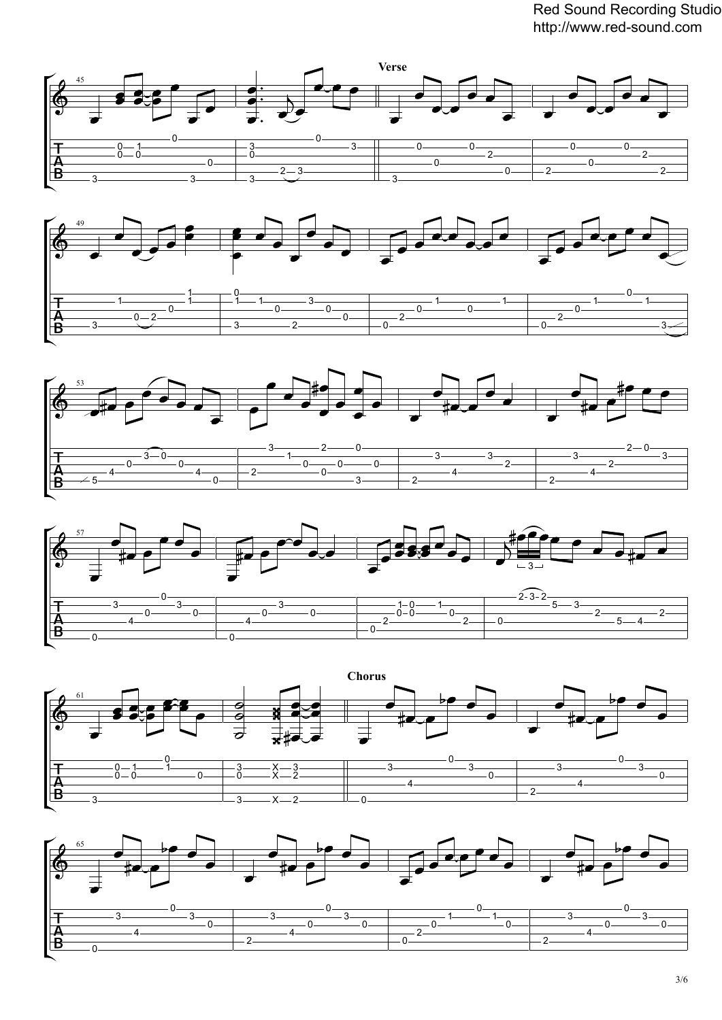Red Sound Recording Studio http://www.red-sound.com











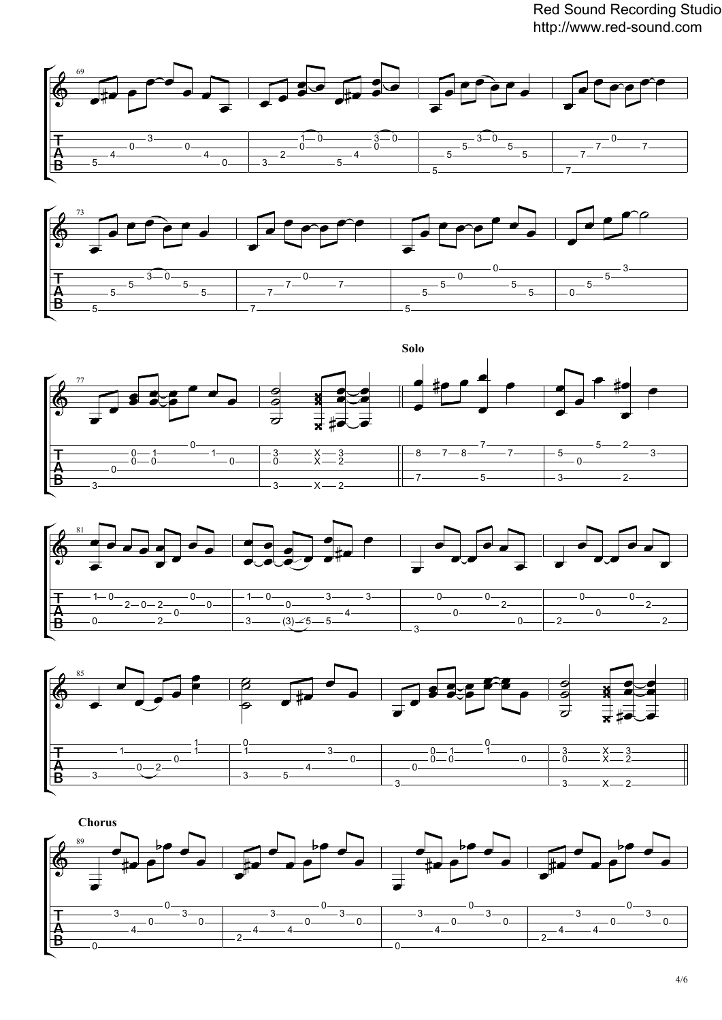Red Sound Recording Studio http://www.red-sound.com











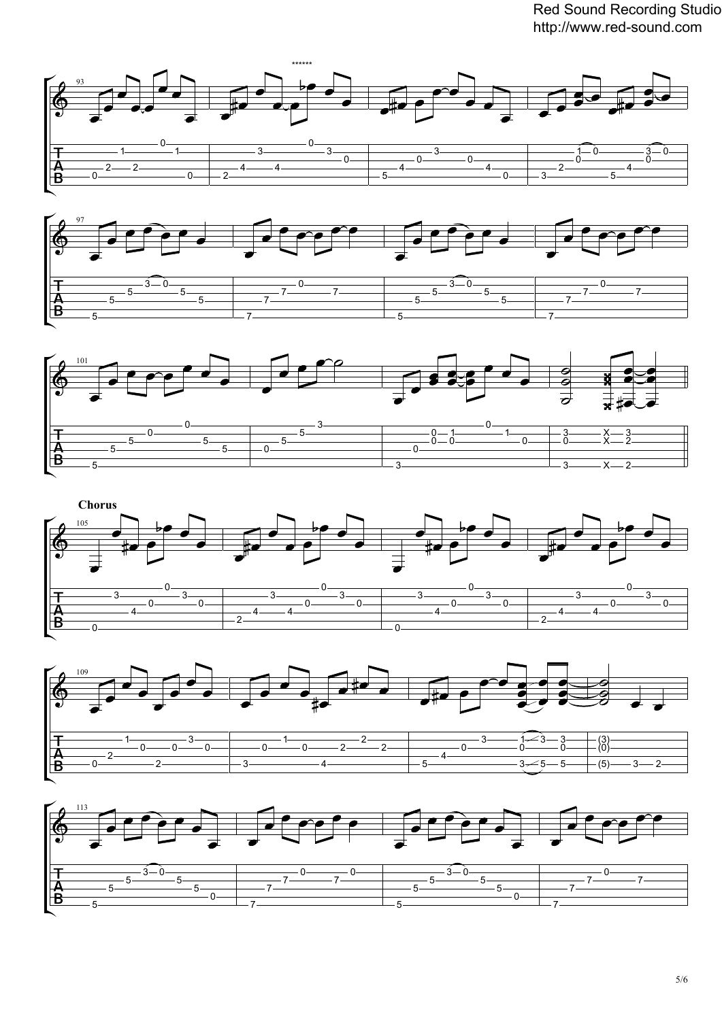Red Sound Recording Studio http://www.red-sound.com